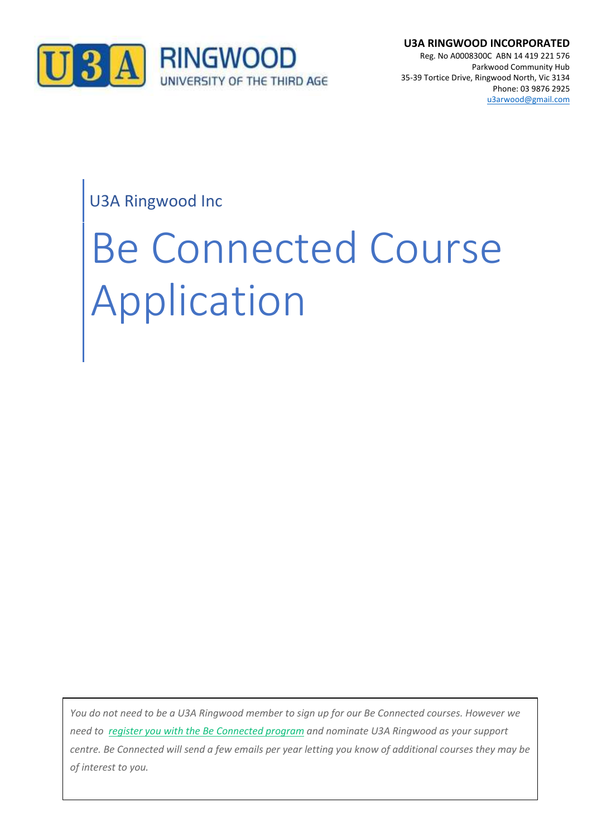

**U3A RINGWOOD INCORPORATED** Reg. No A0008300C ABN 14 419 221 576 Parkwood Community Hub 35-39 Tortice Drive, Ringwood North, Vic 3134 Phone: 03 9876 2925 [u3arwood@gmail.com](mailto:u3arwood@gmail.com)

# U3A Ringwood Inc

# Be Connected Course Application

of interest to you. *You do not need to be a U3A Ringwood member to sign up for our Be Connected courses. However we need to register you with the Be [Connected](https://beconnected.esafety.gov.au/login/index.php) program and nominate U3A Ringwood as your support centre. Be Connected will send a few emails per year letting you know of additional courses they may be*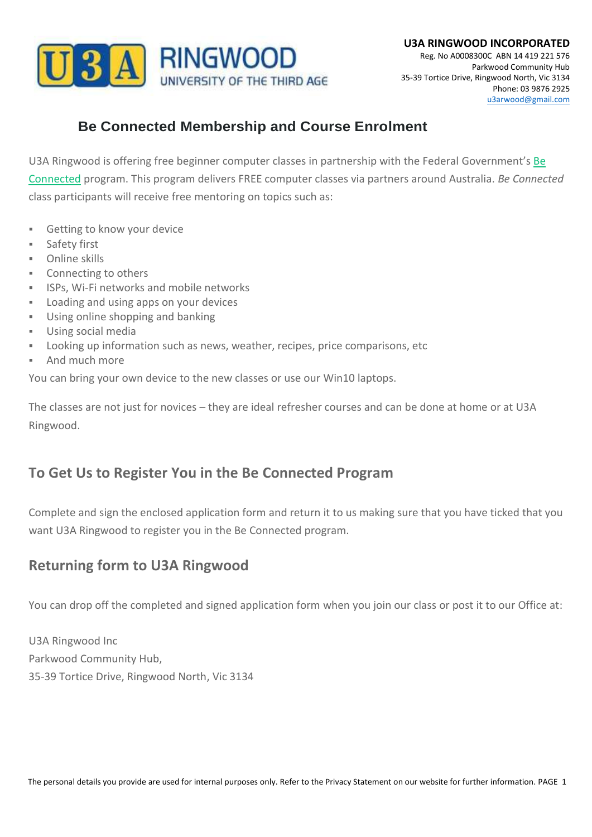

## **Be Connected Membership and Course Enrolment**

U3A Ringwood is offering free beginner computer classes in partnership with the Federal Government's [Be](https://beconnected.esafety.gov.au/) [Connected](https://beconnected.esafety.gov.au/) program. This program delivers FREE computer classes via partners around Australia. *Be Connected* class participants will receive free mentoring on topics such as:

- **EXEC** Getting to know your device
- Safety first
- Online skills
- Connecting to others
- **.** ISPs, Wi-Fi networks and mobile networks
- Loading and using apps on your devices
- Using online shopping and banking
- Using social media
- Looking up information such as news, weather, recipes, price comparisons, etc
- And much more

You can bring your own device to the new classes or use our Win10 laptops.

The classes are not just for novices – they are ideal refresher courses and can be done at home or at U3A Ringwood.

### **To Get Us to Register You in the Be Connected Program**

Complete and sign the enclosed application form and return it to us making sure that you have ticked that you want U3A Ringwood to register you in the Be Connected program.

### **Returning form to U3A Ringwood**

You can drop off the completed and signed application form when you join our class or post it to our Office at:

U3A Ringwood Inc Parkwood Community Hub, 35-39 Tortice Drive, Ringwood North, Vic 3134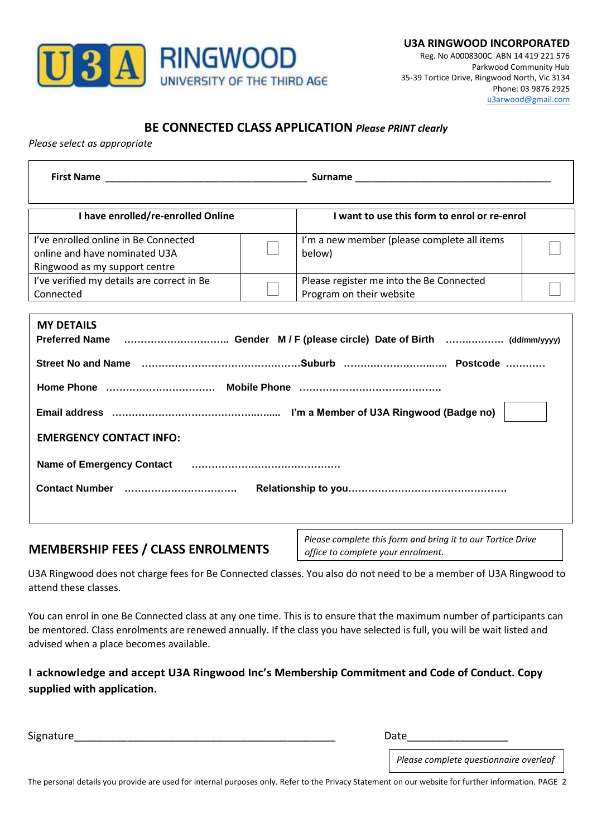

#### **BE CONNECTED CLASS APPLICATION** *Please PRINT clearly*

*Please select as appropriate*

| I have enrolled/re-enrolled Online                                                                                                                                    |  | I want to use this form to enrol or re-enrol                         |  |  |
|-----------------------------------------------------------------------------------------------------------------------------------------------------------------------|--|----------------------------------------------------------------------|--|--|
| I've enrolled online in Be Connected<br>online and have nominated U3A<br>Ringwood as my support centre                                                                |  | I'm a new member (please complete all items<br>below)                |  |  |
| I've verified my details are correct in Be<br>Connected                                                                                                               |  | Please register me into the Be Connected<br>Program on their website |  |  |
| <b>MY DETAILS</b><br>Street No and Name medical contents and the content of the Street No and Name medical contents and Name medica<br><b>EMERGENCY CONTACT INFO:</b> |  |                                                                      |  |  |

#### **MEMBERSHIP FEES / CLASS ENROLMENTS**

*Please complete this form and bring it to our Tortice Drive office to complete your enrolment.* 

U3A Ringwood does not charge fees for Be Connected classes. You also do not need to be a member of U3A Ringwood to attend these classes.

You can enrol in one Be Connected class at any one time. This is to ensure that the maximum number of participants can be mentored. Class enrolments are renewed annually. If the class you have selected is full, you will be wait listed and advised when a place becomes available.

**I acknowledge and accept U3A Ringwood Inc's Membership Commitment and Code of Conduct. Copy supplied with application.**

Signature\_\_\_\_\_\_\_\_\_\_\_\_\_\_\_\_\_\_\_\_\_\_\_\_\_\_\_\_\_\_\_\_\_\_\_\_\_\_\_\_\_\_\_\_ Date\_\_\_\_\_\_\_\_\_\_\_\_\_\_\_\_\_

*Please complete questionnaire overleaf*

The personal details you provide are used for internal purposes only. Refer to the Privacy Statement on our website for further information. PAGE 2